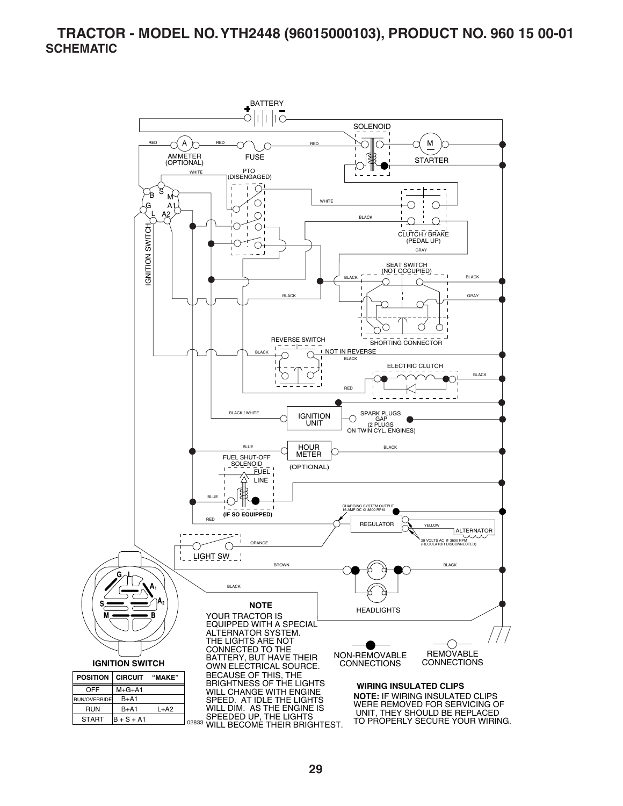#### **TRACTOR - MODEL NO. YTH2448 (96015000103), PRODUCT NO. 960 15 00-01 SCHEMATIC**

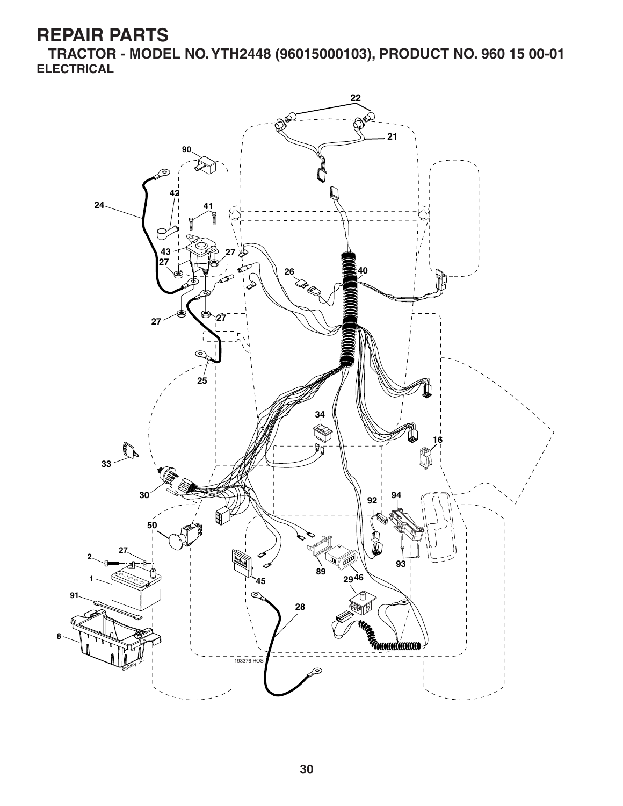**TRACTOR - MODEL NO. YTH2448 (96015000103), PRODUCT NO. 960 15 00-01 ELECTRICAL**

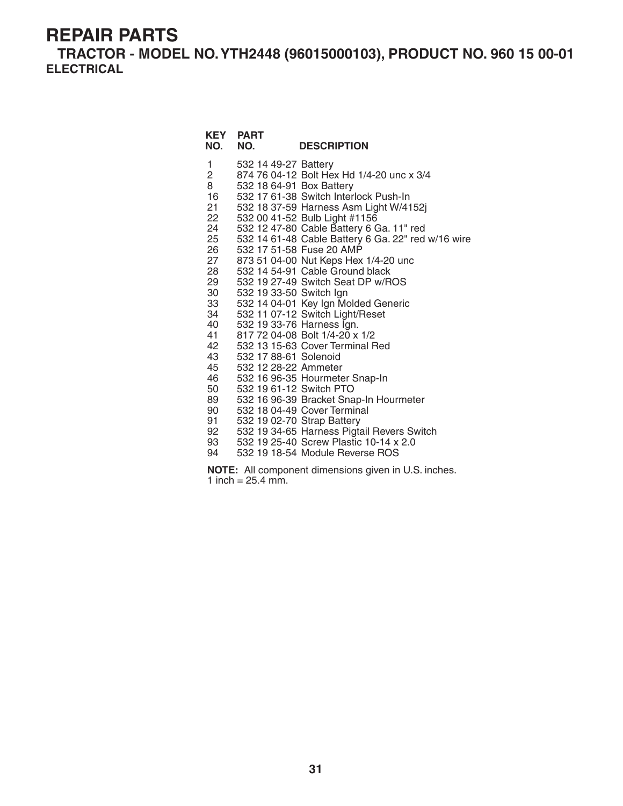**TRACTOR - MODEL NO. YTH2448 (96015000103), PRODUCT NO. 960 15 00-01 ELECTRICAL**

| NO.                                                                                                                                                                            | <b>KEY PART</b><br>NO.                                                                                                                                                               | <b>DESCRIPTION</b>                                                                                                                                                                                                                                                                                                                                                                                                                                                                                                                                                                                                                                                                                                                                                                                                             |
|--------------------------------------------------------------------------------------------------------------------------------------------------------------------------------|--------------------------------------------------------------------------------------------------------------------------------------------------------------------------------------|--------------------------------------------------------------------------------------------------------------------------------------------------------------------------------------------------------------------------------------------------------------------------------------------------------------------------------------------------------------------------------------------------------------------------------------------------------------------------------------------------------------------------------------------------------------------------------------------------------------------------------------------------------------------------------------------------------------------------------------------------------------------------------------------------------------------------------|
| 1<br>$\overline{2}$<br>8<br>16<br>21<br>22<br>24<br>25<br>26<br>27<br>28<br>29<br>30<br>33<br>34<br>40<br>41<br>42<br>43<br>45<br>46<br>50<br>89<br>90<br>91<br>92<br>93<br>94 | 532 14 49-27 Battery<br>532 18 64-91 Box Battery<br>532 19 33-50 Switch Ign<br>532 19 33-76 Harness Ign.<br>532 17 88-61 Solenoid<br>532 12 28-22 Ammeter<br>532 19 61-12 Switch PTO | 874 76 04-12 Bolt Hex Hd 1/4-20 unc x 3/4<br>532 17 61-38 Switch Interlock Push-In<br>532 18 37-59 Harness Asm Light W/4152j<br>532 00 41-52 Bulb Light #1156<br>532 12 47-80 Cable Battery 6 Ga. 11" red<br>532 14 61-48 Cable Battery 6 Ga. 22" red w/16 wire<br>532 17 51-58 Fuse 20 AMP<br>873 51 04-00 Nut Keps Hex 1/4-20 unc<br>532 14 54-91 Cable Ground black<br>532 19 27-49 Switch Seat DP w/ROS<br>532 14 04-01 Key Ign Molded Generic<br>532 11 07-12 Switch Light/Reset<br>817 72 04-08 Bolt 1/4-20 x 1/2<br>532 13 15-63 Cover Terminal Red<br>532 16 96-35 Hourmeter Snap-In<br>532 16 96-39 Bracket Snap-In Hourmeter<br>532 18 04-49 Cover Terminal<br>532 19 02-70 Strap Battery<br>532 19 34-65 Harness Pigtail Revers Switch<br>532 19 25-40 Screw Plastic 10-14 x 2.0<br>532 19 18-54 Module Reverse ROS |

**NOTE:** All component dimensions given in U.S. inches. 1 inch =  $25.4 \, \text{mm}$ .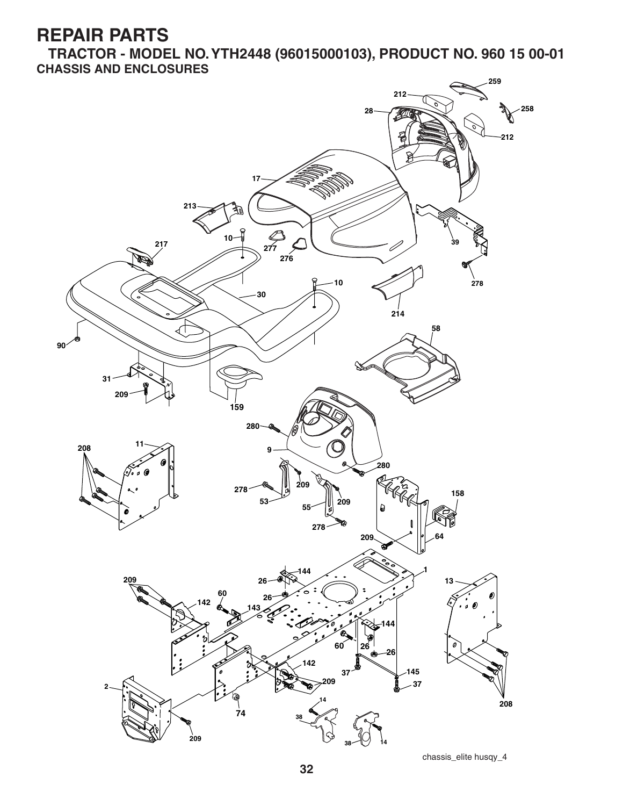**TRACTOR - MODEL NO. YTH2448 (96015000103), PRODUCT NO. 960 15 00-01 CHASSIS AND ENCLOSURES**



chassis\_elite husqy\_4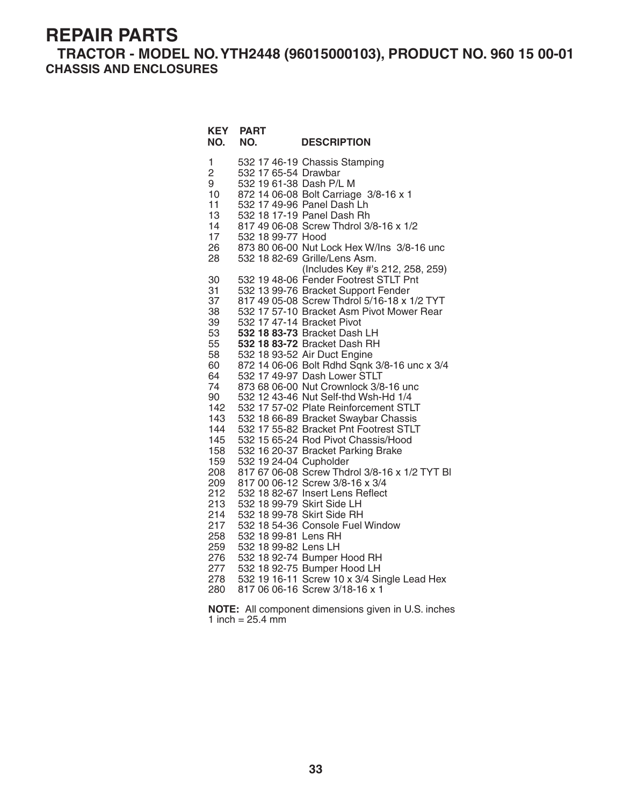**TRACTOR - MODEL NO. YTH2448 (96015000103), PRODUCT NO. 960 15 00-01 CHASSIS AND ENCLOSURES**

**KEY PART** 

| NO.                                                                                                     | NO.                                                                    | <b>DESCRIPTION</b>                                                                                                                                                                                                                                                                                                                                                                                                                                                                                                                                                                                                                                                                                                  |
|---------------------------------------------------------------------------------------------------------|------------------------------------------------------------------------|---------------------------------------------------------------------------------------------------------------------------------------------------------------------------------------------------------------------------------------------------------------------------------------------------------------------------------------------------------------------------------------------------------------------------------------------------------------------------------------------------------------------------------------------------------------------------------------------------------------------------------------------------------------------------------------------------------------------|
| 1<br>$\overline{2}$<br>9<br>10<br>11<br>13<br>14<br>17<br>26<br>28                                      | 532 17 65-54 Drawbar<br>532 19 61-38 Dash P/L M<br>532 18 99-77 Hood   | 532 17 46-19 Chassis Stamping<br>872 14 06-08 Bolt Carriage 3/8-16 x 1<br>532 17 49-96 Panel Dash Lh<br>532 18 17-19 Panel Dash Rh<br>817 49 06-08 Screw Thdrol 3/8-16 x 1/2<br>873 80 06-00 Nut Lock Hex W/Ins 3/8-16 unc<br>532 18 82-69 Grille/Lens Asm.                                                                                                                                                                                                                                                                                                                                                                                                                                                         |
| 30<br>31<br>37<br>38<br>39<br>53<br>55<br>58<br>60<br>64<br>74<br>90<br>142<br>143<br>144<br>145<br>158 |                                                                        | (Includes Key #'s 212, 258, 259)<br>532 19 48-06 Fender Footrest STLT Pnt<br>532 13 99-76 Bracket Support Fender<br>817 49 05-08 Screw Thdrol 5/16-18 x 1/2 TYT<br>532 17 57-10 Bracket Asm Pivot Mower Rear<br>532 17 47-14 Bracket Pivot<br>532 18 83-73 Bracket Dash LH<br>532 18 83-72 Bracket Dash RH<br>532 18 93-52 Air Duct Engine<br>872 14 06-06 Bolt Rdhd Sqnk 3/8-16 unc x 3/4<br>532 17 49-97 Dash Lower STLT<br>873 68 06-00 Nut Crownlock 3/8-16 unc<br>532 12 43-46 Nut Self-thd Wsh-Hd 1/4<br>532 17 57-02 Plate Reinforcement STLT<br>532 18 66-89 Bracket Swaybar Chassis<br>532 17 55-82 Bracket Pnt Footrest STLT<br>532 15 65-24 Rod Pivot Chassis/Hood<br>532 16 20-37 Bracket Parking Brake |
| 159<br>208<br>209<br>212<br>213<br>214<br>217<br>258<br>259<br>276<br>277<br>278<br>280                 | 532 19 24-04 Cupholder<br>532 18 99-81 Lens RH<br>532 18 99-82 Lens LH | 817 67 06-08 Screw Thdrol 3/8-16 x 1/2 TYT BI<br>817 00 06-12 Screw 3/8-16 x 3/4<br>532 18 82-67 Insert Lens Reflect<br>532 18 99-79 Skirt Side LH<br>532 18 99-78 Skirt Side RH<br>532 18 54-36 Console Fuel Window<br>532 18 92-74 Bumper Hood RH<br>532 18 92-75 Bumper Hood LH<br>532 19 16-11 Screw 10 x 3/4 Single Lead Hex<br>817 06 06-16 Screw 3/18-16 x 1                                                                                                                                                                                                                                                                                                                                                 |

**NOTE:** All component dimensions given in U.S. inches 1 inch =  $25.4 \, \text{mm}$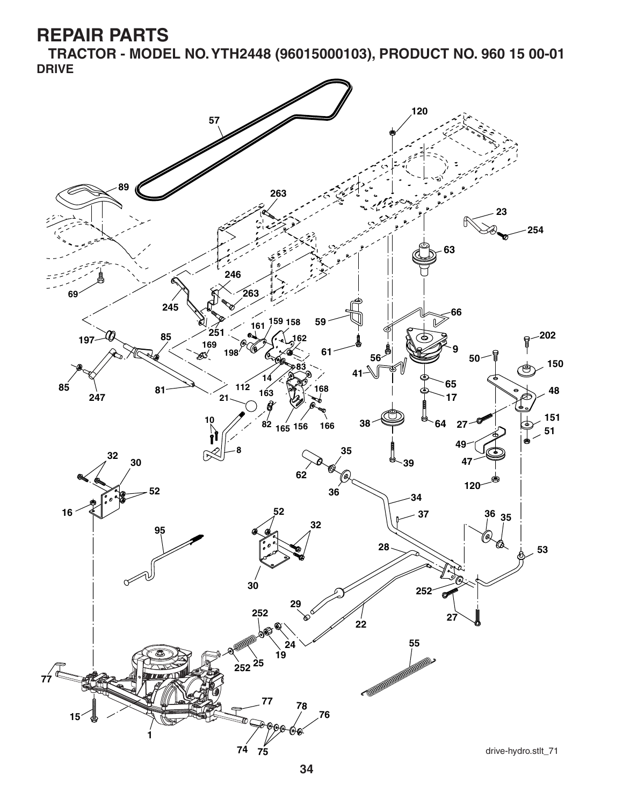**TRACTOR - MODEL NO. YTH2448 (96015000103), PRODUCT NO. 960 15 00-01 DRIVE**

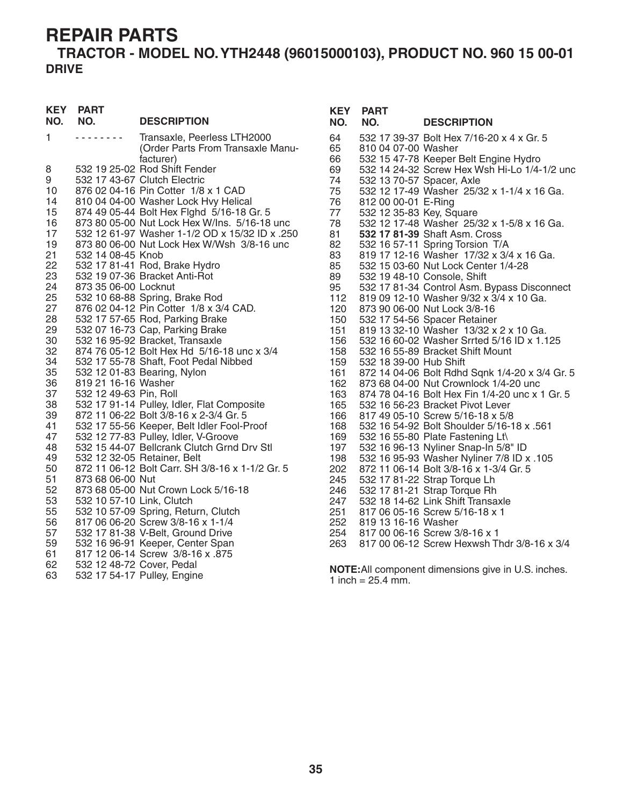### **TRACTOR - MODEL NO. YTH2448 (96015000103), PRODUCT NO. 960 15 00-01 DRIVE**

| <b>KEY</b><br>NO. | <b>PART</b><br>NO.        | <b>DESCRIPTION</b>                                                                | <b>KEY</b><br>NO. | <b>PART</b><br>NO.        | <b>DESCRIPTION</b>                                                                 |
|-------------------|---------------------------|-----------------------------------------------------------------------------------|-------------------|---------------------------|------------------------------------------------------------------------------------|
| $\mathbf{1}$      | .                         | Transaxle, Peerless LTH2000                                                       | 64                |                           | 532 17 39-37 Bolt Hex 7/16-20 x 4 x Gr. 5                                          |
|                   |                           | (Order Parts From Transaxle Manu-                                                 | 65                | 810 04 07-00 Washer       |                                                                                    |
|                   |                           | facturer)                                                                         | 66                |                           | 532 15 47-78 Keeper Belt Engine Hydro                                              |
| 8                 |                           | 532 19 25-02 Rod Shift Fender                                                     | 69                |                           | 532 14 24-32 Screw Hex Wsh Hi-Lo 1/4-1/2 unc                                       |
| 9                 |                           | 532 17 43-67 Clutch Electric                                                      | 74                | 532 13 70-57 Spacer, Axle |                                                                                    |
| 10                |                           | 876 02 04-16 Pin Cotter 1/8 x 1 CAD                                               | 75                |                           | 532 12 17-49 Washer 25/32 x 1-1/4 x 16 Ga.                                         |
| 14<br>15          |                           | 810 04 04-00 Washer Lock Hvy Helical<br>874 49 05-44 Bolt Hex Fighd 5/16-18 Gr. 5 | 76<br>77          | 812 00 00-01 E-Ring       |                                                                                    |
| 16                |                           | 873 80 05-00 Nut Lock Hex W/Ins. 5/16-18 unc                                      | 78                | 532 12 35-83 Key, Square  | 532 12 17-48 Washer 25/32 x 1-5/8 x 16 Ga.                                         |
| 17                |                           | 532 12 61-97 Washer 1-1/2 OD x 15/32 ID x .250                                    | 81                |                           | 532 17 81-39 Shaft Asm. Cross                                                      |
| 19                |                           | 873 80 06-00 Nut Lock Hex W/Wsh 3/8-16 unc                                        | 82                |                           | 532 16 57-11 Spring Torsion T/A                                                    |
| 21                | 532 14 08-45 Knob         |                                                                                   | 83                |                           | 819 17 12-16 Washer 17/32 x 3/4 x 16 Ga.                                           |
| 22                |                           | 532 17 81-41 Rod, Brake Hydro                                                     | 85                |                           | 532 15 03-60 Nut Lock Center 1/4-28                                                |
| 23                |                           | 532 19 07-36 Bracket Anti-Rot                                                     | 89                |                           | 532 19 48-10 Console, Shift                                                        |
| 24                | 873 35 06-00 Locknut      |                                                                                   | 95                |                           | 532 17 81-34 Control Asm. Bypass Disconnect                                        |
| 25                |                           | 532 10 68-88 Spring, Brake Rod                                                    | 112               |                           | 819 09 12-10 Washer 9/32 x 3/4 x 10 Ga.                                            |
| 27                |                           | 876 02 04-12 Pin Cotter 1/8 x 3/4 CAD.                                            | 120               |                           | 873 90 06-00 Nut Lock 3/8-16                                                       |
| 28                |                           | 532 17 57-65 Rod, Parking Brake                                                   | 150               |                           | 532 17 54-56 Spacer Retainer                                                       |
| 29                |                           | 532 07 16-73 Cap, Parking Brake                                                   | 151               |                           | 819 13 32-10 Washer 13/32 x 2 x 10 Ga.                                             |
| 30                |                           | 532 16 95-92 Bracket, Transaxle                                                   | 156               |                           | 532 16 60-02 Washer Srrted 5/16 ID x 1.125                                         |
| 32                |                           | 874 76 05-12 Bolt Hex Hd 5/16-18 unc x 3/4                                        | 158               |                           | 532 16 55-89 Bracket Shift Mount                                                   |
| 34                |                           | 532 17 55-78 Shaft, Foot Pedal Nibbed                                             | 159               | 532 18 39-00 Hub Shift    |                                                                                    |
| 35                |                           | 532 12 01-83 Bearing, Nylon                                                       | 161               |                           | 872 14 04-06 Bolt Rdhd Sqnk 1/4-20 x 3/4 Gr. 5                                     |
| 36                | 819 21 16-16 Washer       |                                                                                   | 162               |                           | 873 68 04-00 Nut Crownlock 1/4-20 unc                                              |
| 37<br>38          | 532 12 49-63 Pin, Roll    | 532 17 91-14 Pulley, Idler, Flat Composite                                        | 163<br>165        |                           | 874 78 04-16 Bolt Hex Fin 1/4-20 unc x 1 Gr. 5<br>532 16 56-23 Bracket Pivot Lever |
| 39                |                           | 872 11 06-22 Bolt 3/8-16 x 2-3/4 Gr. 5                                            | 166               |                           | 817 49 05-10 Screw 5/16-18 x 5/8                                                   |
| 41                |                           | 532 17 55-56 Keeper, Belt Idler Fool-Proof                                        | 168               |                           | 532 16 54-92 Bolt Shoulder 5/16-18 x .561                                          |
| 47                |                           | 532 12 77-83 Pulley, Idler, V-Groove                                              | 169               |                           | 532 16 55-80 Plate Fastening Lt\                                                   |
| 48                |                           | 532 15 44-07 Bellcrank Clutch Grnd Drv Stl                                        | 197               |                           | 532 16 96-13 Nyliner Snap-In 5/8" ID                                               |
| 49                |                           | 532 12 32-05 Retainer, Belt                                                       | 198               |                           | 532 16 95-93 Washer Nyliner 7/8 ID x .105                                          |
| 50                |                           | 872 11 06-12 Bolt Carr. SH 3/8-16 x 1-1/2 Gr. 5                                   | 202               |                           | 872 11 06-14 Bolt 3/8-16 x 1-3/4 Gr. 5                                             |
| 51                | 873 68 06-00 Nut          |                                                                                   | 245               |                           | 532 17 81-22 Strap Torque Lh                                                       |
| 52                |                           | 873 68 05-00 Nut Crown Lock 5/16-18                                               | 246               |                           | 532 17 81-21 Strap Torque Rh                                                       |
| 53                | 532 10 57-10 Link, Clutch |                                                                                   | 247               |                           | 532 18 14-62 Link Shift Transaxle                                                  |
| 55                |                           | 532 10 57-09 Spring, Return, Clutch                                               | 251               |                           | 817 06 05-16 Screw 5/16-18 x 1                                                     |
| 56                |                           | 817 06 06-20 Screw 3/8-16 x 1-1/4                                                 | 252               | 819 13 16-16 Washer       |                                                                                    |
| 57                |                           | 532 17 81-38 V-Belt, Ground Drive                                                 | 254               |                           | 817 00 06-16 Screw 3/8-16 x 1                                                      |
| 59                |                           | 532 16 96-91 Keeper, Center Span                                                  | 263               |                           | 817 00 06-12 Screw Hexwsh Thdr 3/8-16 x 3/4                                        |
| 61                |                           | 817 12 06-14 Screw 3/8-16 x .875                                                  |                   |                           |                                                                                    |
| 62                | 532 12 48-72 Cover, Pedal |                                                                                   |                   |                           | <b>NOTE:</b> All component dimensions give in U.S. inches.                         |
| 63                |                           | 532 17 54-17 Pulley, Engine                                                       |                   | 1 inch = $25.4$ mm.       |                                                                                    |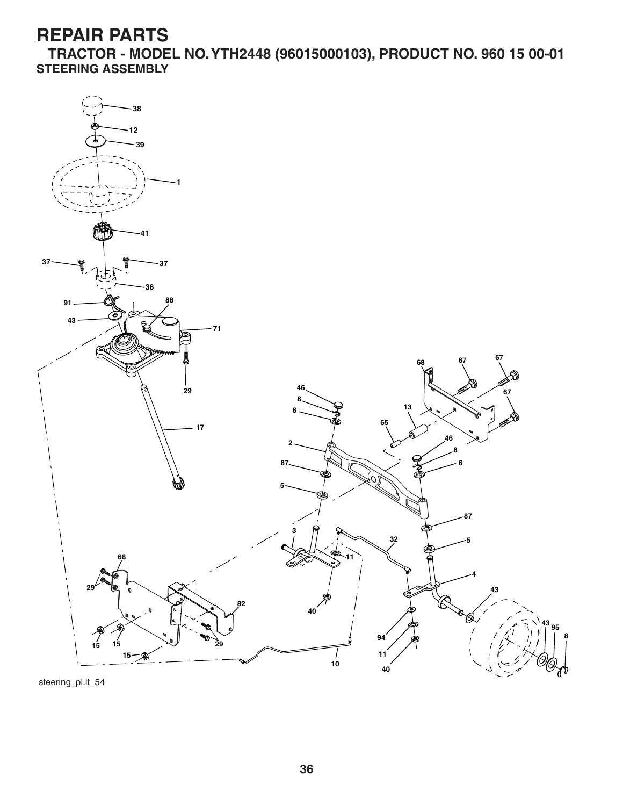**TRACTOR - MODEL NO. YTH2448 (96015000103), PRODUCT NO. 960 15 00-01 STEERING ASSEMBLY**



steering\_pl.lt\_54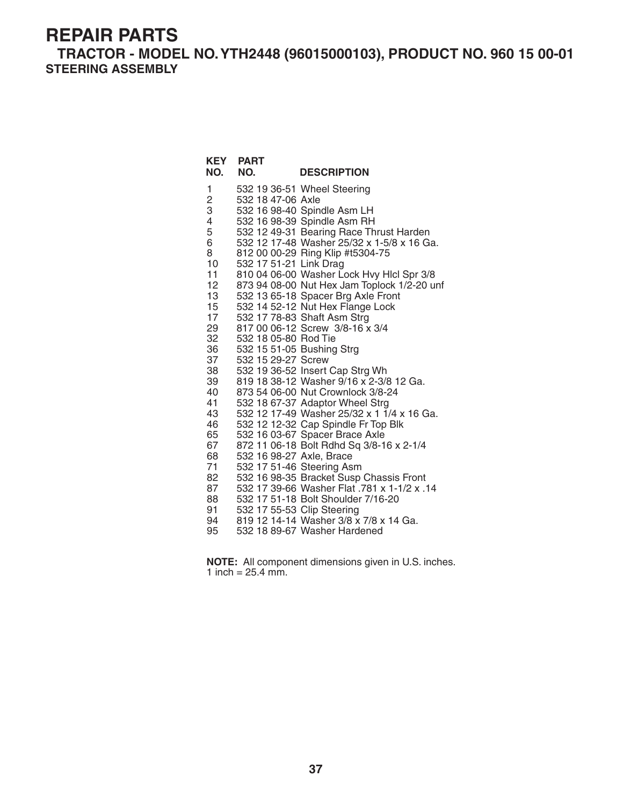**TRACTOR - MODEL NO. YTH2448 (96015000103), PRODUCT NO. 960 15 00-01 STEERING ASSEMBLY**

| NO.                                | <b>KEY PART</b><br>NO.   | <b>DESCRIPTION</b>                                                                     |
|------------------------------------|--------------------------|----------------------------------------------------------------------------------------|
| 1                                  |                          | 532 19 36-51 Wheel Steering                                                            |
| $\frac{2}{3}$                      | 532 18 47-06 Axle        |                                                                                        |
|                                    |                          | 532 16 98-40 Spindle Asm LH                                                            |
| 4                                  |                          | 532 16 98-39 Spindle Asm RH                                                            |
| 5                                  |                          | 532 12 49-31 Bearing Race Thrust Harden                                                |
| 6                                  |                          | 532 12 17-48 Washer 25/32 x 1-5/8 x 16 Ga.                                             |
| 8                                  |                          | 812 00 00-29 Ring Klip #t5304-75                                                       |
| 10 <sup>1</sup>                    | 532 17 51-21 Link Drag   |                                                                                        |
| 11                                 |                          | 810 04 06-00 Washer Lock Hvy Hlcl Spr 3/8                                              |
| 12 <sup>2</sup><br>13 <sup>°</sup> |                          | 873 94 08-00 Nut Hex Jam Toplock 1/2-20 unf                                            |
| 15 <sub>15</sub>                   |                          | 532 13 65-18 Spacer Brg Axle Front<br>532 14 52-12 Nut Hex Flange Lock                 |
| 17 <sup>17</sup>                   |                          | 532 17 78-83 Shaft Asm Strg                                                            |
| 29                                 |                          | 817 00 06-12 Screw 3/8-16 x 3/4                                                        |
| 32                                 | 532 18 05-80 Rod Tie     |                                                                                        |
| 36                                 |                          | 532 15 51-05 Bushing Strg                                                              |
| 37                                 | 532 15 29-27 Screw       |                                                                                        |
| 38                                 |                          | 532 19 36-52 Insert Cap Strg Wh                                                        |
| 39                                 |                          | 819 18 38-12 Washer 9/16 x 2-3/8 12 Ga.                                                |
| 40                                 |                          | 873 54 06-00 Nut Crownlock 3/8-24                                                      |
| 41                                 |                          | 532 18 67-37 Adaptor Wheel Strg                                                        |
| 43                                 |                          | 532 12 17-49 Washer 25/32 x 1 1/4 x 16 Ga.                                             |
| 46                                 |                          | 532 12 12-32 Cap Spindle Fr Top Blk                                                    |
| 65                                 |                          | 532 16 03-67 Spacer Brace Axle                                                         |
| 67                                 |                          | 872 11 06-18 Bolt Rdhd Sq 3/8-16 x 2-1/4                                               |
| 68                                 | 532 16 98-27 Axle, Brace |                                                                                        |
| 71                                 |                          | 532 17 51-46 Steering Asm                                                              |
| 82<br>87                           |                          | 532 16 98-35 Bracket Susp Chassis Front<br>532 17 39-66 Washer Flat .781 x 1-1/2 x .14 |
| 88                                 |                          | 532 17 51-18 Bolt Shoulder 7/16-20                                                     |
| 91                                 |                          | 532 17 55-53 Clip Steering                                                             |
| 94                                 |                          | 819 12 14-14 Washer 3/8 x 7/8 x 14 Ga.                                                 |
| 95                                 |                          | 532 18 89-67 Washer Hardened                                                           |

**NOTE:** All component dimensions given in U.S. inches. 1 inch =  $25.4$  mm.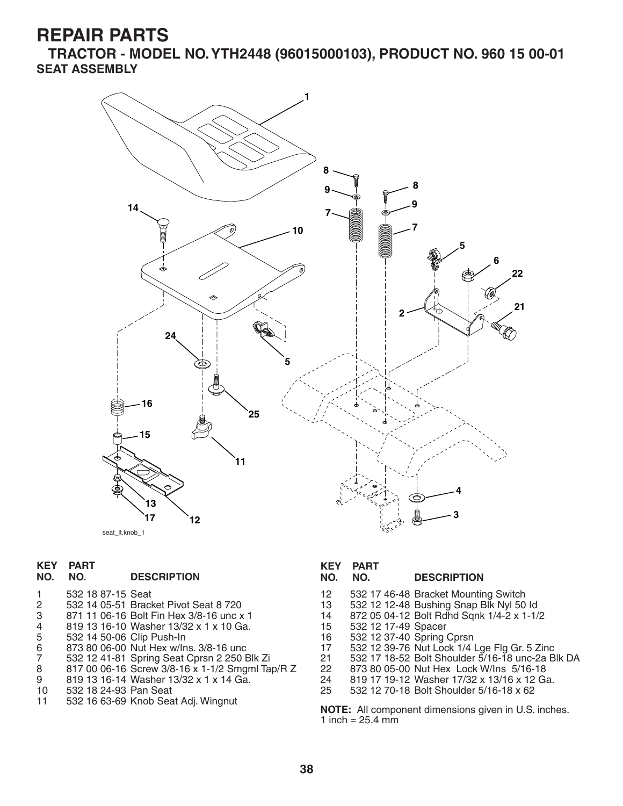**TRACTOR - MODEL NO. YTH2448 (96015000103), PRODUCT NO. 960 15 00-01 SEAT ASSEMBLY**



# **KEY PART**

#### **NO. NO. DESCRIPTION**

- 1 532 18 87-15 Seat
- 2 532 14 05-51 Bracket Pivot Seat 8 720
- 3 871 11 06-16 Bolt Fin Hex 3/8-16 unc x 1
- 
- 5 532 14 50-06 Clip Push-In
- 4 819 13 16-10 Washer 13/32 x 1 x 10 Ga.<br>5 332 14 50-06 Clip Push-ln<br>6 873 80 06-00 Nut Hex w/lns. 3/8-16 unc<br>7 532 12 41-81 Spring Seat Cprsn 2 250 Bl 6 873 80 06-00 Nut Hex w/Ins. 3/8-16 unc
- 7 532 12 41-81 Spring Seat Cprsn 2 250 Blk Zi
- 8 817 00 06-16 Screw 3/8-16 x 1-1/2 Smgml Tap/R Z<br>9 819 13 16-14 Washer 13/32 x 1 x 14 Ga.
- 9 819 13 16-14 Washer 13/32 x 1 x 14 Ga.<br>10 532 18 24-93 Pan Seat
- 10 532 18 24-93 Pan Seat
- 532 16 63-69 Knob Seat Adj. Wingnut

**KEY PART** 

#### **NO. NO. DESCRIPTION**

- 12 532 17 46-48 Bracket Mounting Switch
- 13 532 12 12-48 Bushing Snap Blk Nyl 50 Id
- 14 872 05 04-12 Bolt Rdhd Sqnk 1/4-2 x 1-1/2
- 15 532 12 17-49 Spacer
- 16 532 12 37-40 Spring Cprsn<br>17 532 12 39-76 Nut Lock 1/4
- 17 532 12 39-76 Nut Lock 1/4 Lge Flg Gr. 5 Zinc
- 21 532 17 18-52 Bolt Shoulder 5/16-18 unc-2a Blk DA
- 22 873 80 05-00 Nut Hex Lock W/Ins 5/16-18
- 24 819 17 19-12 Washer 17/32 x 13/16 x 12 Ga.<br>25 532 12 70-18 Bolt Shoulder 5/16-18 x 62
- 25 532 12 70-18 Bolt Shoulder 5/16-18 x 62

**NOTE:** All component dimensions given in U.S. inches. 1 inch =  $25.4$  mm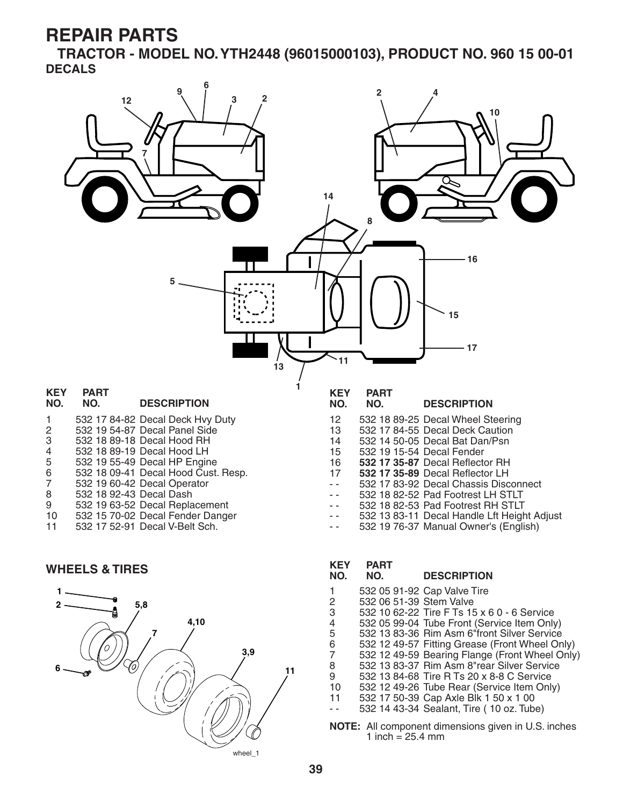**TRACTOR - MODEL NO. YTH2448 (96015000103), PRODUCT NO. 960 15 00-01 DECALS**



#### **WHEELS & TIRES**



# **KEY PART**

#### **NO. NO. DESCRIPTION**

- 1 532 05 91-92 Cap Valve Tire
- 2 532 06 51-39 Stem Valve
- 3 532 10 62-22 Tire F Ts 15 x 6 0 6 Service
- 4 532 05 99-04 Tube Front (Service Item Only)
- 5 532 13 83-36 Rim Asm 6"front Silver Service
- 6 532 12 49-57 Fitting Grease (Front Wheel Only)
- 7 532 12 49-59 Bearing Flange (Front Wheel Only)
- 8 532 13 83-37 Rim Asm 8"rear Silver Service
- 9 532 13 84-68 Tire R Ts 20 x 8-8 C Service<br>10 532 12 49-26 Tube Rear (Service Item Onl 532 12 49-26 Tube Rear (Service Item Only)
- 11 532 17 50-39 Cap Axle Blk 1 50 x 1 00
- - 532 14 43-34 Sealant, Tire ( 10 oz. Tube)
- **NOTE:** All component dimensions given in U.S. inches 1 inch =  $25.4 \, \text{mm}$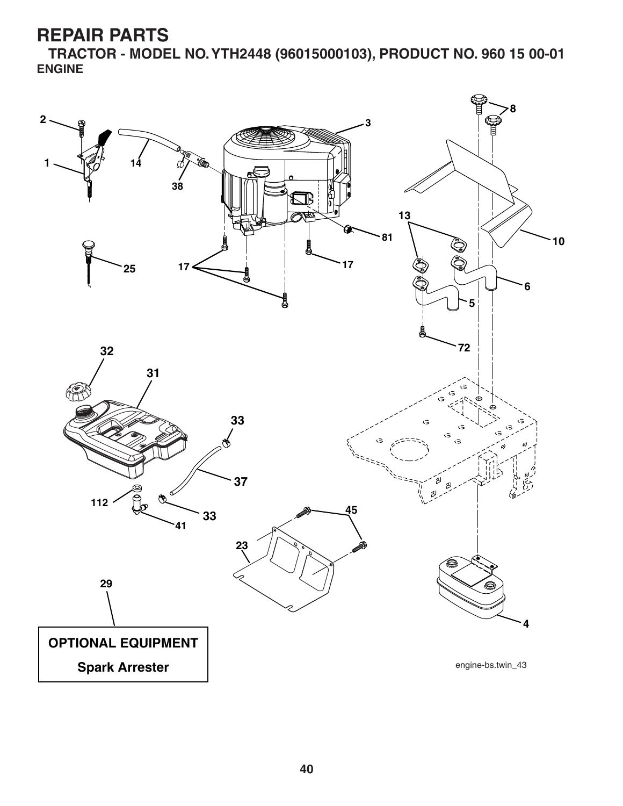**TRACTOR - MODEL NO. YTH2448 (96015000103), PRODUCT NO. 960 15 00-01 ENGINE**

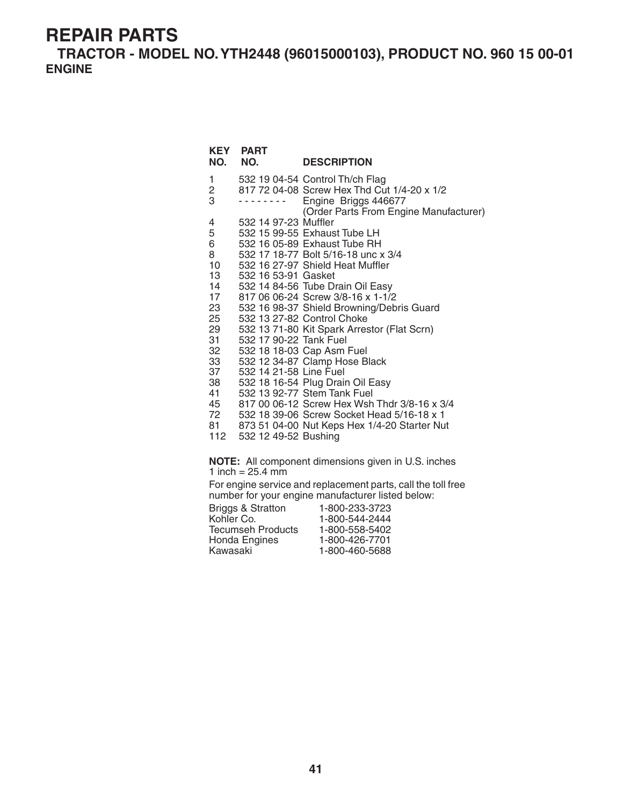**TRACTOR - MODEL NO. YTH2448 (96015000103), PRODUCT NO. 960 15 00-01 ENGINE**

#### **NOTE:** All component dimensions given in U.S. inches 1 inch =  $25.4 \, \text{mm}$ For engine service and replacement parts, call the toll free number for your engine manufacturer listed below: Briggs & Stratton 1-800-233-3723 1 532 19 04-54 Control Th/ch Flag 2 817 72 04-08 Screw Hex Thd Cut 1/4-20 x 1/2 - - - - - - - - Engine Briggs 446677 (Order Parts From Engine Manufacturer)<br>4 532 14 97-23 Muffler 4 532 14 97-23 Muffler<br>5 532 15 99-55 Exhaus 5 532 15 99-55 Exhaust Tube LH 6 532 16 05-89 Exhaust Tube RH 8 532 17 18-77 Bolt 5/16-18 unc x 3/4 10 532 16 27-97 Shield Heat Muffler<br>13 532 16 53-91 Gasket 13 532 16 53-91 Gasket 14 532 14 84-56 Tube Drain Oil Easy<br>17 817 06 06-24 Screw 3/8-16 x 1-1/2 17 817 06 06-24 Screw 3/8-16 x 1-1/2 23 532 16 98-37 Shield Browning/Debris Guard 25 532 13 27-82 Control Choke 29 532 13 71-80 Kit Spark Arrestor (Flat Scrn) 31 532 17 90-22 Tank Fuel 32 532 18 18-03 Cap Asm Fuel 33 532 12 34-87 Clamp Hose Black 37 532 14 21-58 Line Fuel 38 532 18 16-54 Plug Drain Oil Easy 41 532 13 92-77 Stem Tank Fuel 45 817 00 06-12 Screw Hex Wsh Thdr 3/8-16 x 3/4 72 532 18 39-06 Screw Socket Head 5/16-18 x 1 873 51 04-00 Nut Keps Hex 1/4-20 Starter Nut 112 532 12 49-52 Bushing **KEY PART DESCRIPTION**

| 1-800-544-2444 |
|----------------|
| 1-800-558-5402 |
| 1-800-426-7701 |
| 1-800-460-5688 |
|                |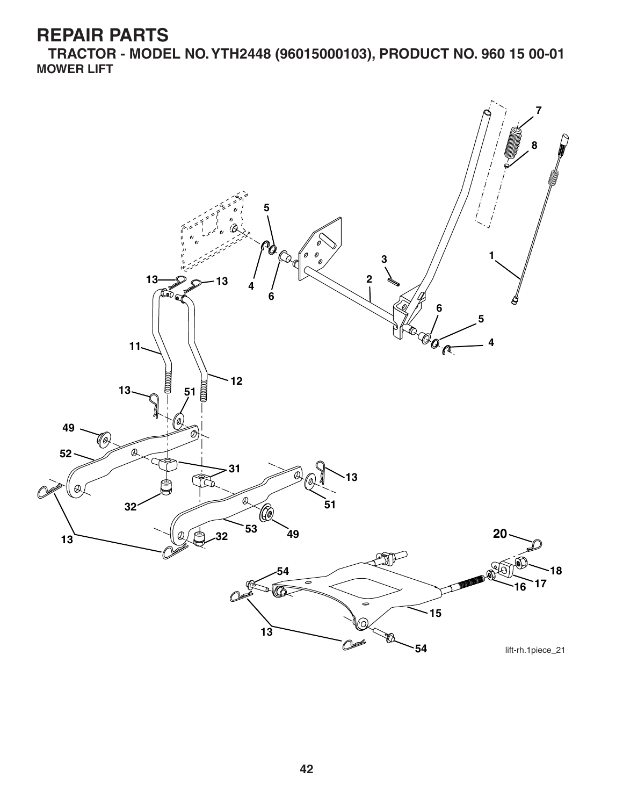**TRACTOR - MODEL NO. YTH2448 (96015000103), PRODUCT NO. 960 15 00-01 MOWER LIFT**

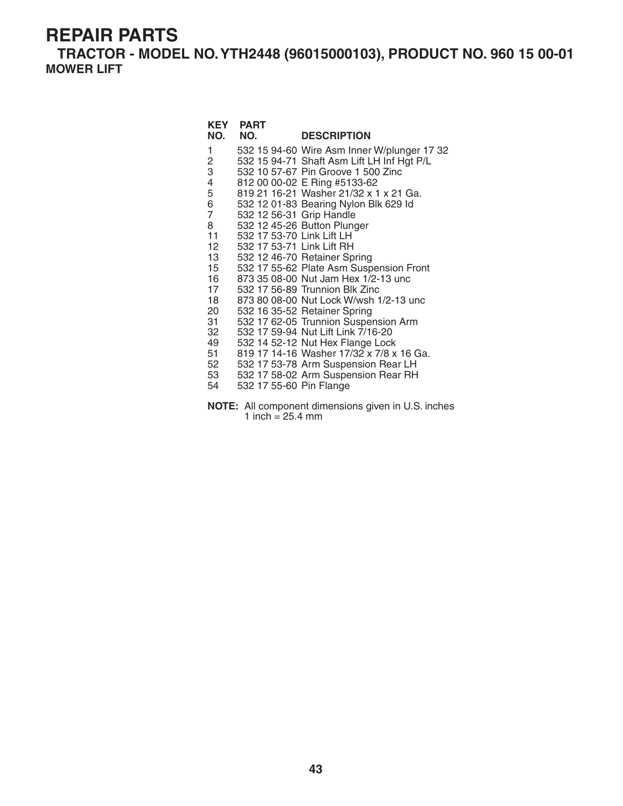**TRACTOR - MODEL NO. YTH2448 (96015000103), PRODUCT NO. 960 15 00-01 MOWER LIFT**

| NO.                                                                                                                                                       | <b>KEY PART</b><br>NO.                                                                                        | <b>DESCRIPTION</b>                                                                                                                                                                                                                                                                                                                                                                                                                                                                                                                                                                                                                                                                                                                                          |
|-----------------------------------------------------------------------------------------------------------------------------------------------------------|---------------------------------------------------------------------------------------------------------------|-------------------------------------------------------------------------------------------------------------------------------------------------------------------------------------------------------------------------------------------------------------------------------------------------------------------------------------------------------------------------------------------------------------------------------------------------------------------------------------------------------------------------------------------------------------------------------------------------------------------------------------------------------------------------------------------------------------------------------------------------------------|
| 1<br>2<br>3<br>4<br>5<br>6<br>$\overline{7}$<br>8<br>11<br>12<br>13<br>15 <sup>15</sup><br>16<br>17<br>18<br>20<br>31<br>32<br>49<br>51<br>52<br>53<br>54 | 532 12 56-31 Grip Handle<br>532 17 53-70 Link Lift LH<br>532 17 53-71 Link Lift RH<br>532 17 55-60 Pin Flange | 532 15 94-60 Wire Asm Inner W/plunger 17 32<br>532 15 94-71 Shaft Asm Lift LH Inf Hgt P/L<br>532 10 57-67 Pin Groove 1 500 Zinc<br>812 00 00-02 E Ring #5133-62<br>819 21 16-21 Washer 21/32 x 1 x 21 Ga.<br>532 12 01-83 Bearing Nylon Blk 629 Id<br>532 12 45-26 Button Plunger<br>532 12 46-70 Retainer Spring<br>532 17 55-62 Plate Asm Suspension Front<br>873 35 08-00 Nut Jam Hex 1/2-13 unc<br>532 17 56-89 Trunnion Blk Zinc<br>873 80 08-00 Nut Lock W/wsh 1/2-13 unc<br>532 16 35-52 Retainer Spring<br>532 17 62-05 Trunnion Suspension Arm<br>532 17 59-94 Nut Lift Link 7/16-20<br>532 14 52-12 Nut Hex Flange Lock<br>819 17 14-16 Washer 17/32 x 7/8 x 16 Ga.<br>532 17 53-78 Arm Suspension Rear LH<br>532 17 58-02 Arm Suspension Rear RH |
|                                                                                                                                                           |                                                                                                               |                                                                                                                                                                                                                                                                                                                                                                                                                                                                                                                                                                                                                                                                                                                                                             |

**NOTE:** All component dimensions given in U.S. inches 1 inch = 25.4 mm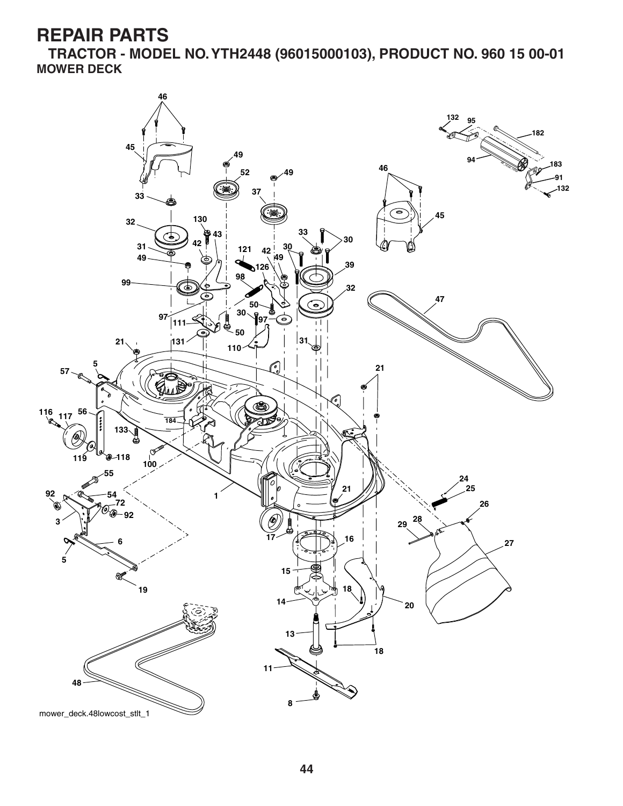**TRACTOR - MODEL NO. YTH2448 (96015000103), PRODUCT NO. 960 15 00-01 MOWER DECK**